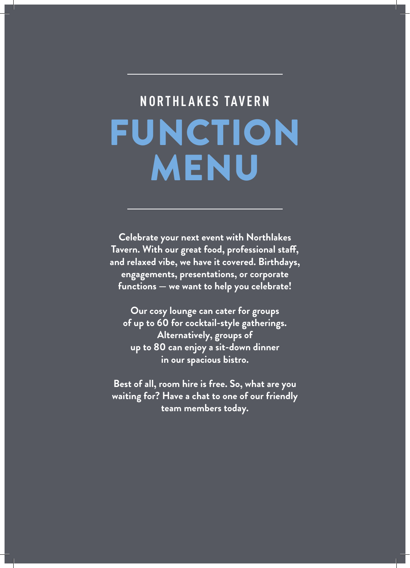# FUNCTION MENU **NORTHLAKES TAVERN**

**Celebrate your next event with Northlakes Tavern. With our great food, professional staff, and relaxed vibe, we have it covered. Birthdays, engagements, presentations, or corporate functions — we want to help you celebrate!** 

**Our cosy lounge can cater for groups of up to 60 for cocktail-style gatherings. Alternatively, groups of up to 80 can enjoy a sit-down dinner in our spacious bistro.** 

**Best of all, room hire is free. So, what are you waiting for? Have a chat to one of our friendly team members today.**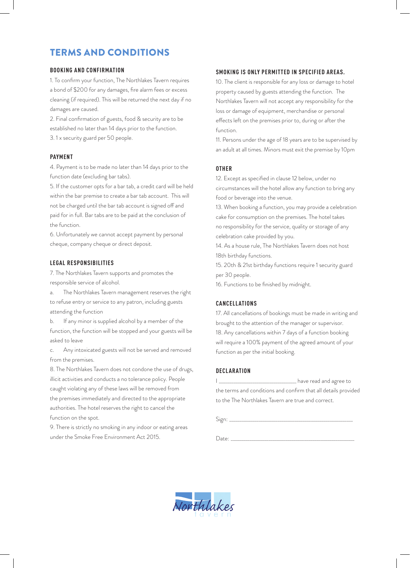# TERMS AND CONDITIONS

#### **BOOKING AND CONFIRMATION**

1. To confirm your function, The Northlakes Tavern requires a bond of \$200 for any damages, fire alarm fees or excess cleaning (if required). This will be returned the next day if no damages are caused.

2. Final confirmation of guests, food & security are to be established no later than 14 days prior to the function. 3. 1 x security guard per 50 people.

#### **PAYMENT**

4. Payment is to be made no later than 14 days prior to the function date (excluding bar tabs).

5. If the customer opts for a bar tab, a credit card will be held within the bar premise to create a bar tab account. This will not be charged until the bar tab account is signed off and paid for in full. Bar tabs are to be paid at the conclusion of the function.

6. Unfortunately we cannot accept payment by personal cheque, company cheque or direct deposit.

#### **LEGAL RESPONSIBILITIES**

7. The Northlakes Tavern supports and promotes the responsible service of alcohol.

a. The Northlakes Tavern management reserves the right to refuse entry or service to any patron, including guests attending the function

b. If any minor is supplied alcohol by a member of the function, the function will be stopped and your guests will be asked to leave

c. Any intoxicated guests will not be served and removed from the premises.

8. The Northlakes Tavern does not condone the use of drugs, illicit activities and conducts a no tolerance policy. People caught violating any of these laws will be removed from the premises immediately and directed to the appropriate authorities. The hotel reserves the right to cancel the function on the spot.

9. There is strictly no smoking in any indoor or eating areas under the Smoke Free Environment Act 2015.

#### **SMOKING IS ONLY PERMITTED IN SPECIFIED AREAS.**

10. The client is responsible for any loss or damage to hotel property caused by guests attending the function. The Northlakes Tavern will not accept any responsibility for the loss or damage of equipment, merchandise or personal effects left on the premises prior to, during or after the function.

11. Persons under the age of 18 years are to be supervised by an adult at all times. Minors must exit the premise by 10pm

#### **OTHER**

12. Except as specified in clause 12 below, under no circumstances will the hotel allow any function to bring any food or beverage into the venue.

13. When booking a function, you may provide a celebration cake for consumption on the premises. The hotel takes no responsibility for the service, quality or storage of any celebration cake provided by you.

14. As a house rule, The Northlakes Tavern does not host 18th birthday functions.

15. 20th & 21st birthday functions require 1 security guard per 30 people.

16. Functions to be finished by midnight.

## **CANCELLATIONS**

17. All cancellations of bookings must be made in writing and brought to the attention of the manager or supervisor. 18. Any cancellations within 7 days of a function booking will require a 100% payment of the agreed amount of your function as per the initial booking.

## **DECLARATION**

I \_\_\_\_\_\_\_\_\_\_\_\_\_\_\_\_\_\_\_\_\_\_\_\_\_\_\_\_\_\_\_\_\_\_ have read and agree to the terms and conditions and confirm that all details provided to the The Northlakes Tavern are true and correct.

 $Sign:$ 

 $Date:$